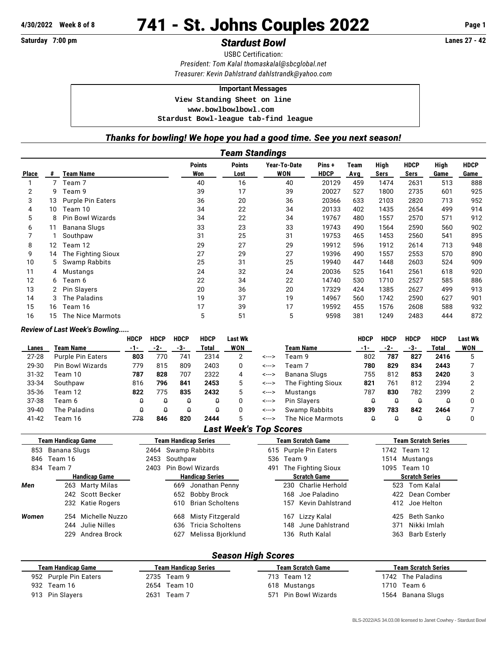# **4/30/2022** Week 8 of 8 **741 - St. Johns Couples 2022** Page 1<br> **Startday 7:00 pm**<br> **Exactled Rowl**

# **Saturday 7:00 pm Stardust Bowl**

USBC Certification: *President: Tom Kalal [thomaskalal@sbcglobal.net](mailto:thomaskalal@sbcglobal.net) Treasurer: Kevin Dahlstrand [dahlstrandk@yahoo.com](mailto:dahlstrandk@yahoo.com)*

#### **Important Messages**

 **View Standing Sheet on line <www.bowlbowlbowl.com>**

 **Stardust Bowl-league tab-find league**

## *Thanks for bowling! We hope you had a good time. See you next season!*

|              | <b>Team Standings</b> |                          |                      |                       |                     |                      |             |              |                     |              |                     |  |  |
|--------------|-----------------------|--------------------------|----------------------|-----------------------|---------------------|----------------------|-------------|--------------|---------------------|--------------|---------------------|--|--|
| <b>Place</b> | #                     | Team Name                | <b>Points</b><br>Won | <b>Points</b><br>Lost | Year-To-Date<br>WON | Pins+<br><b>HDCP</b> | Team<br>Avg | High<br>Sers | <b>HDCP</b><br>Sers | High<br>Game | <b>HDCP</b><br>Game |  |  |
|              | 7                     | Team 7                   | 40                   | 16                    | 40                  | 20129                | 459         | 1474         | 2631                | 513          | 888                 |  |  |
| 2            | 9                     | Team 9                   | 39                   | 17                    | 39                  | 20027                | 527         | 1800         | 2735                | 601          | 925                 |  |  |
| 3            | 13                    | <b>Purple Pin Eaters</b> | 36                   | 20                    | 36                  | 20366                | 633         | 2103         | 2820                | 713          | 952                 |  |  |
| 4            | 10                    | Team 10                  | 34                   | 22                    | 34                  | 20133                | 402         | 1435         | 2654                | 499          | 914                 |  |  |
| 5            | 8                     | <b>Pin Bowl Wizards</b>  | 34                   | 22                    | 34                  | 19767                | 480         | 1557         | 2570                | 571          | 912                 |  |  |
| 6            | 11                    | Banana Slugs             | 33                   | 23                    | 33                  | 19743                | 490         | 1564         | 2590                | 560          | 902                 |  |  |
|              |                       | Southpaw                 | 31                   | 25                    | 31                  | 19753                | 465         | 1453         | 2560                | 541          | 895                 |  |  |
| 8            | 12                    | Team 12                  | 29                   | 27                    | 29                  | 19912                | 596         | 1912         | 2614                | 713          | 948                 |  |  |
| 9            | 14                    | The Fighting Sioux       | 27                   | 29                    | 27                  | 19396                | 490         | 1557         | 2553                | 570          | 890                 |  |  |
| 10           | 5.                    | Swamp Rabbits            | 25                   | 31                    | 25                  | 19940                | 447         | 1448         | 2603                | 524          | 909                 |  |  |
| 11           |                       | Mustangs                 | 24                   | 32                    | 24                  | 20036                | 525         | 1641         | 2561                | 618          | 920                 |  |  |
| 12           | 6                     | Team 6                   | 22                   | 34                    | 22                  | 14740                | 530         | 1710         | 2527                | 585          | 886                 |  |  |
| 13           |                       | Pin Slavers              | 20                   | 36                    | 20                  | 17329                | 424         | 1385         | 2627                | 499          | 913                 |  |  |
| 14           | 3                     | The Paladins             | 19                   | 37                    | 19                  | 14967                | 560         | 1742         | 2590                | 627          | 901                 |  |  |
| 15           | 16                    | Team 16                  | 17                   | 39                    | 17                  | 19592                | 455         | 1576         | 2608                | 588          | 932                 |  |  |
| 16           | 15                    | The Nice Marmots         | 5                    | 51                    | 5                   | 9598                 | 381         | 1249         | 2483                | 444          | 872                 |  |  |

#### *Review of Last Week's Bowling.....*

|           |                          | <b>HDCP</b> | <b>HDCP</b> | <b>HDCP</b> | <b>HDCP</b> | Last Wk |       |                    |     | <b>HDCP</b> | <b>HDCP</b> | <b>HDCP</b> | Last Wk |
|-----------|--------------------------|-------------|-------------|-------------|-------------|---------|-------|--------------------|-----|-------------|-------------|-------------|---------|
| Lanes     | Team Name                | -1-         | -2-         | -3-         | Total       | WON     |       | Team Name          | -1- | -2-         | -3-         | Total       | WON     |
| $27 - 28$ | <b>Purple Pin Eaters</b> | 803         | 770         | 741         | 2314        |         | <---> | Team 9             | 802 | 787         | 827         | 2416        |         |
| 29-30     | <b>Pin Bowl Wizards</b>  | 779         | 815         | 809         | 2403        |         | <---> | Team 7             | 780 | 829         | 834         | 2443        |         |
| $31 - 32$ | Team 10                  | 787         | 828         | 707         | 2322        | 4       | <---> | Banana Slugs       | 755 | 812         | 853         | 2420        |         |
| 33-34     | Southpaw                 | 816         | 796         | 841         | 2453        | 5       | <---> | The Fighting Sioux | 821 | 761         | 812         | 2394        |         |
| 35-36     | Team 12                  | 822         | 775         | 835         | 2432        | 5       | <---> | Mustangs           | 787 | 830         | 782         | 2399        |         |
| 37-38     | Team 6                   | Q           |             | O           |             |         | <---> | <b>Pin Slavers</b> |     |             |             | $\Omega$    |         |
| $39-40$   | The Paladins             | Û           |             | û           |             |         | <---> | Swamp Rabbits      | 839 | 783         | 842         | 2464        |         |
| 41-42     | Team 16                  | 778         | 846         | 820         | 2444        |         | <---> | The Nice Marmots   |     |             |             |             |         |

### *Last Week's Top Scores*

| <b>Team Handicap Game</b> |             |                                    | Team Handicap Series |                        |                       |                       | <b>Team Scratch Game</b> | <b>Team Scratch Series</b> |                       |                |  |  |
|---------------------------|-------------|------------------------------------|----------------------|------------------------|-----------------------|-----------------------|--------------------------|----------------------------|-----------------------|----------------|--|--|
| 853                       |             | 2464 Swamp Rabbits<br>Banana Slugs |                      |                        |                       | 615 Purple Pin Eaters |                          | 1742 Team 12               |                       |                |  |  |
|                           | 846 Team 16 |                                    |                      | 2453 Southpaw          |                       |                       | 536 Team 9               |                            |                       | 1514 Mustangs  |  |  |
| 834                       | Team 7      |                                    |                      |                        | 2403 Pin Bowl Wizards | 491                   |                          | The Fighting Sioux         |                       | 1095 Team 10   |  |  |
|                           |             | <b>Handicap Game</b>               |                      | <b>Handicap Series</b> |                       | <b>Scratch Game</b>   |                          |                            | <b>Scratch Series</b> |                |  |  |
| Men                       |             | 263 Marty Milas                    |                      | 669                    | Jonathan Penny        |                       |                          | 230 Charlie Herhold        |                       | 523 Tom Kalal  |  |  |
|                           |             | 242 Scott Becker                   |                      |                        | 652 Bobby Brock       |                       | 168                      | Joe Paladino               | 422                   | Dean Comber    |  |  |
|                           |             | 232 Katie Rogers                   |                      |                        | 610 Brian Scholtens   |                       |                          | 157 Kevin Dahlstrand       |                       | 412 Joe Helton |  |  |
| Women                     |             | 254 Michelle Nuzzo                 |                      | 668                    | Misty Fitzgerald      |                       |                          | 167 Lizzy Kalal            | 425                   | Beth Sanko     |  |  |
|                           |             | 244 Julie Nilles                   |                      |                        | 636 Tricia Scholtens  |                       |                          | 148 June Dahlstrand        | 371                   | Nikki Imlah    |  |  |
|                           |             | 229 Andrea Brock                   |                      | 627                    | Melissa Bjorklund     |                       |                          | 136 Ruth Kalal             | 363                   | Barb Esterly   |  |  |
|                           |             |                                    |                      |                        |                       |                       |                          |                            |                       |                |  |  |

#### *Season High Scores*

| <b>Team Handicap Game</b> | Team Handicap Series | <b>Team Scratch Game</b> | <b>Team Scratch Series</b> |
|---------------------------|----------------------|--------------------------|----------------------------|
| 952 Purple Pin Eaters     | 2735 Team 9          | 713 Team 12              | 1742 The Paladins          |
| 932 Team 16               | 2654 Team 10         | 618 Mustangs             | 1710 Team 6                |
| 913 Pin Slayers           | 2631<br>Team 7       | 571 Pin Bowl Wizards     | 1564 Banana Slugs          |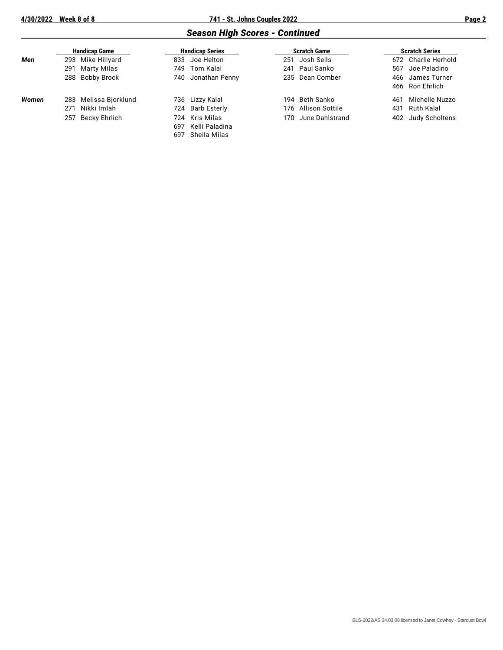# *Season High Scores - Continued*

|       | <b>Handicap Game</b> |                       |      | <b>Handicap Series</b> |      | <b>Scratch Game</b> |     | <b>Scratch Series</b>               |
|-------|----------------------|-----------------------|------|------------------------|------|---------------------|-----|-------------------------------------|
| Men   |                      | 293 Mike Hillyard     | 833  | Joe Helton             | 251  | Josh Seils          |     | 672 Charlie Herhold                 |
|       | 291                  | Marty Milas           | 749. | Tom Kalal              |      | 241 Paul Sanko      |     | 567 Joe Paladino                    |
|       |                      | 288 Bobby Brock       | 740  | Jonathan Penny         |      | 235 Dean Comber     |     | 466 James Turner<br>466 Ron Ehrlich |
| Women |                      | 283 Melissa Bjorklund |      | 736 Lizzy Kalal        | 194  | Beth Sanko          | 461 | Michelle Nuzzo                      |
|       | 271                  | Nikki Imlah           |      | 724 Barb Esterly       |      | 176 Allison Sottile | 431 | Ruth Kalal                          |
|       |                      | 257 Becky Ehrlich     |      | 724 Kris Milas         | 170. | June Dahlstrand     |     | 402 Judy Scholtens                  |
|       |                      |                       | 697  | Kelli Paladina         |      |                     |     |                                     |
|       |                      |                       | 697  | Sheila Milas           |      |                     |     |                                     |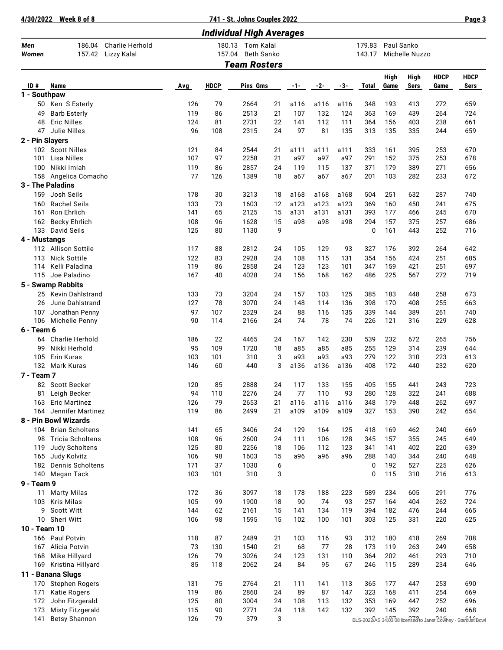| 4/30/2022                       | Week 8 of 8                                               |            | 741 - St. Johns Couples 2022 |                                                       |          |             |             |             |                  |            |                |             | Page 3                                                        |
|---------------------------------|-----------------------------------------------------------|------------|------------------------------|-------------------------------------------------------|----------|-------------|-------------|-------------|------------------|------------|----------------|-------------|---------------------------------------------------------------|
| <b>Individual High Averages</b> |                                                           |            |                              |                                                       |          |             |             |             |                  |            |                |             |                                                               |
| Men<br>Women                    | <b>Charlie Herhold</b><br>186.04<br>157.42<br>Lizzy Kalal |            | 157.04                       | 180.13 Tom Kalal<br>Beth Sanko<br><b>Team Rosters</b> |          |             |             |             | 179.83<br>143.17 | Paul Sanko | Michelle Nuzzo |             |                                                               |
|                                 |                                                           |            |                              |                                                       |          |             |             |             |                  | High       | High           | <b>HDCP</b> | <b>HDCP</b>                                                   |
| ID#                             | Name                                                      | Avg        | <b>HDCP</b>                  | Pins Gms                                              |          | $-1-$       | $-2-$       | $-3-$       | <b>Total</b>     | Game       | <b>Sers</b>    | Game        | <b>Sers</b>                                                   |
| 1 - Southpaw                    |                                                           |            |                              |                                                       |          |             |             |             |                  |            |                |             |                                                               |
| 50<br>49                        | Ken S Esterly<br><b>Barb Esterly</b>                      | 126<br>119 | 79<br>86                     | 2664<br>2513                                          | 21<br>21 | a116<br>107 | a116<br>132 | a116<br>124 | 348<br>363       | 193<br>169 | 413<br>439     | 272<br>264  | 659<br>724                                                    |
| 48                              | <b>Eric Nilles</b>                                        | 124        | 81                           | 2731                                                  | 22       | 141         | 112         | 111         | 364              | 156        | 403            | 238         | 661                                                           |
| 47                              | Julie Nilles                                              | 96         | 108                          | 2315                                                  | 24       | 97          | 81          | 135         | 313              | 135        | 335            | 244         | 659                                                           |
| 2 - Pin Slayers                 |                                                           |            |                              |                                                       |          |             |             |             |                  |            |                |             |                                                               |
|                                 | 102 Scott Nilles                                          | 121        | 84                           | 2544                                                  | 21       | a111        | a111        | a111        | 333              | 161        | 395            | 253         | 670                                                           |
| 101                             | Lisa Nilles                                               | 107        | 97                           | 2258                                                  | 21       | a97         | a97         | a97         | 291              | 152        | 375            | 253         | 678                                                           |
| 100                             | Nikki Imlah                                               | 119        | 86                           | 2857                                                  | 24       | 119         | 115         | 137         | 371              | 179        | 389            | 271         | 656                                                           |
|                                 | 158 Angelica Comacho                                      | 77         | 126                          | 1389                                                  | 18       | a67         | a67         | a67         | 201              | 103        | 282            | 233         | 672                                                           |
|                                 | 3 - The Paladins                                          |            |                              |                                                       |          |             |             |             |                  |            |                |             |                                                               |
| 159                             | Josh Seils                                                | 178        | 30                           | 3213                                                  | 18       | a168        | a168        | a168        | 504              | 251        | 632            | 287         | 740                                                           |
| 160                             | <b>Rachel Seils</b>                                       | 133        | 73                           | 1603                                                  | 12       | a123        | a123        | a123        | 369              | 160        | 450            | 241         | 675                                                           |
| 161                             | Ron Ehrlich                                               | 141        | 65                           | 2125                                                  | 15       | a131        | a131        | a131        | 393              | 177        | 466            | 245         | 670                                                           |
| 162                             | <b>Becky Ehrlich</b>                                      | 108        | 96                           | 1628                                                  | 15       | a98         | a98         | a98         | 294              | 157        | 375            | 257         | 686                                                           |
|                                 | 133 David Seils                                           | 125        | 80                           | 1130                                                  | 9        |             |             |             | 0                | 161        | 443            | 252         | 716                                                           |
| 4 - Mustangs                    |                                                           |            |                              |                                                       |          |             |             |             |                  |            |                |             |                                                               |
|                                 | 112 Allison Sottile<br><b>Nick Sottile</b>                | 117<br>122 | 88<br>83                     | 2812                                                  | 24<br>24 | 105<br>108  | 129<br>115  | 93<br>131   | 327<br>354       | 176<br>156 | 392<br>424     | 264         | 642<br>685                                                    |
| 113                             | 114 Kelli Paladina                                        | 119        | 86                           | 2928<br>2858                                          | 24       | 123         | 123         | 101         | 347              | 159        | 421            | 251<br>251  | 697                                                           |
|                                 | 115 Joe Paladino                                          | 167        | 40                           | 4028                                                  | 24       | 156         | 168         | 162         | 486              | 225        | 567            | 272         | 719                                                           |
|                                 | 5 - Swamp Rabbits                                         |            |                              |                                                       |          |             |             |             |                  |            |                |             |                                                               |
|                                 | 25 Kevin Dahlstrand                                       | 133        | 73                           | 3204                                                  | 24       | 157         | 103         | 125         | 385              | 183        | 448            | 258         | 673                                                           |
| 26                              | June Dahlstrand                                           | 127        | 78                           | 3070                                                  | 24       | 148         | 114         | 136         | 398              | 170        | 408            | 255         | 663                                                           |
| 107                             | Jonathan Penny                                            | 97         | 107                          | 2329                                                  | 24       | 88          | 116         | 135         | 339              | 144        | 389            | 261         | 740                                                           |
|                                 | 106 Michelle Penny                                        | 90         | 114                          | 2166                                                  | 24       | 74          | 78          | 74          | 226              | 121        | 316            | 229         | 628                                                           |
| 6 - Team 6                      |                                                           |            |                              |                                                       |          |             |             |             |                  |            |                |             |                                                               |
| 64                              | <b>Charlie Herhold</b>                                    | 186        | 22                           | 4465                                                  | 24       | 167         | 142         | 230         | 539              | 232        | 672            | 265         | 756                                                           |
| 99                              | Nikki Herhold                                             | 95         | 109                          | 1720                                                  | 18       | a85         | a85         | a85         | 255              | 129        | 314            | 239         | 644                                                           |
| 105                             | Erin Kuras                                                | 103        | 101                          | 310                                                   | 3        | a93         | a93         | a93         | 279              | 122        | 310            | 223         | 613                                                           |
| 132                             | Mark Kuras                                                | 146        | 60                           | 440                                                   | 3        | a136        | a136        | a136        | 408              | 172        | 440            | 232         | 620                                                           |
| 7 - Team 7                      |                                                           |            |                              |                                                       |          |             |             |             |                  |            |                |             |                                                               |
| 82                              | <b>Scott Becker</b>                                       | 120        | 85                           | 2888                                                  | 24       | 117         | 133         | 155         | 405              | 155        | 441            | 243         | 723                                                           |
| 81                              | Leigh Becker                                              | 94         | 110                          | 2276                                                  | 24       | 77          | 110         | 93          | 280              | 128        | 322            | 241         | 688                                                           |
| 163                             | <b>Eric Martinez</b>                                      | 126        | 79                           | 2653                                                  | 21       | a116        | a116        | a116        | 348              | 179        | 448            | 262         | 697                                                           |
| 164                             | Jennifer Martinez                                         | 119        | 86                           | 2499                                                  | 21       | a109        | a109        | a109        | 327              | 153        | 390            | 242         | 654                                                           |
|                                 | 8 - Pin Bowl Wizards                                      |            |                              |                                                       |          |             |             |             |                  |            |                |             |                                                               |
| 98                              | 104 Brian Scholtens<br><b>Tricia Scholtens</b>            | 141<br>108 | 65<br>96                     | 3406                                                  | 24<br>24 | 129<br>111  | 164<br>106  | 125<br>128  | 418<br>345       | 169<br>157 | 462            | 240<br>245  | 669<br>649                                                    |
| 119                             | Judy Scholtens                                            | 125        | 80                           | 2600<br>2256                                          | 18       | 106         | 112         | 123         | 341              | 141        | 355<br>402     | 220         | 639                                                           |
| 165                             | Judy Kolvitz                                              | 106        | 98                           | 1603                                                  | 15       | a96         | a96         | a96         | 288              | 140        | 344            | 240         | 648                                                           |
| 182                             | Dennis Scholtens                                          | 171        | 37                           | 1030                                                  | 6        |             |             |             | 0                | 192        | 527            | 225         | 626                                                           |
| 140                             | Megan Tack                                                | 103        | 101                          | 310                                                   | 3        |             |             |             | 0                | 115        | 310            | 216         | 613                                                           |
| 9 - Team 9                      |                                                           |            |                              |                                                       |          |             |             |             |                  |            |                |             |                                                               |
| 11                              | <b>Marty Milas</b>                                        | 172        | 36                           | 3097                                                  | 18       | 178         | 188         | 223         | 589              | 234        | 605            | 291         | 776                                                           |
| 103                             | Kris Milas                                                | 105        | 99                           | 1900                                                  | 18       | 90          | 74          | 93          | 257              | 164        | 404            | 262         | 724                                                           |
| 9                               | Scott Witt                                                | 144        | 62                           | 2161                                                  | 15       | 141         | 134         | 119         | 394              | 182        | 476            | 244         | 665                                                           |
| 10                              | Sheri Witt                                                | 106        | 98                           | 1595                                                  | 15       | 102         | 100         | 101         | 303              | 125        | 331            | 220         | 625                                                           |
| 10 - Team 10                    |                                                           |            |                              |                                                       |          |             |             |             |                  |            |                |             |                                                               |
|                                 | 166 Paul Potvin                                           | 118        | 87                           | 2489                                                  | 21       | 103         | 116         | 93          | 312              | 180        | 418            | 269         | 708                                                           |
| 167                             | Alicia Potvin                                             | 73         | 130                          | 1540                                                  | 21       | 68          | 77          | 28          | 173              | 119        | 263            | 249         | 658                                                           |
| 168                             | Mike Hillyard                                             | 126        | 79                           | 3026                                                  | 24       | 123         | 131         | 110         | 364              | 202        | 461            | 293         | 710                                                           |
|                                 | 169 Kristina Hillyard                                     | 85         | 118                          | 2062                                                  | 24       | 84          | 95          | 67          | 246              | 115        | 289            | 234         | 646                                                           |
|                                 | 11 - Banana Slugs                                         |            |                              |                                                       |          |             |             |             |                  |            |                |             |                                                               |
| 170                             | Stephen Rogers                                            | 131        | 75                           | 2764                                                  | 21       | 111         | 141         | 113         | 365              | 177        | 447            | 253         | 690                                                           |
| 171                             | <b>Katie Rogers</b>                                       | 119        | 86                           | 2860                                                  | 24       | 89          | 87          | 147         | 323              | 168        | 411            | 254         | 669                                                           |
| 172                             | John Fitzgerald                                           | 125        | 80                           | 3004                                                  | 24       | 108         | 113         | 132         | 353              | 169        | 447            | 252         | 696                                                           |
| 173                             | <b>Misty Fitzgerald</b>                                   | 115        | 90                           | 2771                                                  | 24       | 118         | 142         | 132         | 392              | 145        | 392            | 240         | 668                                                           |
| 141                             | <b>Betsy Shannon</b>                                      | 126        | 79                           | 379                                                   | 3        |             |             |             |                  |            |                |             | BLS-2022/AS 34.03.08 licensed to Janet Cowhey - Stardust Bowl |